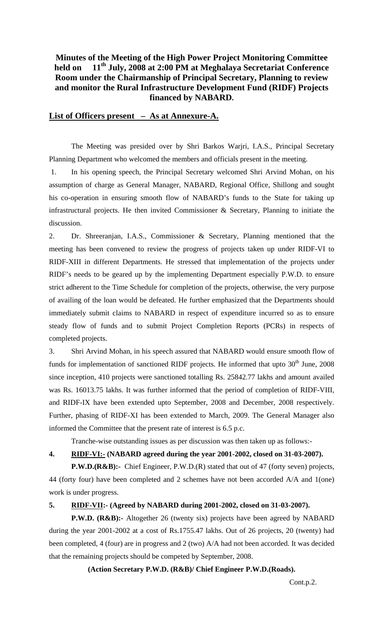## **Minutes of the Meeting of the High Power Project Monitoring Committee held on 11th July, 2008 at 2:00 PM at Meghalaya Secretariat Conference Room under the Chairmanship of Principal Secretary, Planning to review and monitor the Rural Infrastructure Development Fund (RIDF) Projects financed by NABARD.**

### **List of Officers present – As at Annexure-A.**

 The Meeting was presided over by Shri Barkos Warjri, I.A.S., Principal Secretary Planning Department who welcomed the members and officials present in the meeting.

1. In his opening speech, the Principal Secretary welcomed Shri Arvind Mohan, on his assumption of charge as General Manager, NABARD, Regional Office, Shillong and sought his co-operation in ensuring smooth flow of NABARD's funds to the State for taking up infrastructural projects. He then invited Commissioner & Secretary, Planning to initiate the discussion.

2. Dr. Shreeranjan, I.A.S., Commissioner & Secretary, Planning mentioned that the meeting has been convened to review the progress of projects taken up under RIDF-VI to RIDF-XIII in different Departments. He stressed that implementation of the projects under RIDF's needs to be geared up by the implementing Department especially P.W.D. to ensure strict adherent to the Time Schedule for completion of the projects, otherwise, the very purpose of availing of the loan would be defeated. He further emphasized that the Departments should immediately submit claims to NABARD in respect of expenditure incurred so as to ensure steady flow of funds and to submit Project Completion Reports (PCRs) in respects of completed projects.

3. Shri Arvind Mohan, in his speech assured that NABARD would ensure smooth flow of funds for implementation of sanctioned RIDF projects. He informed that upto  $30<sup>th</sup>$  June, 2008 since inception, 410 projects were sanctioned totalling Rs. 25842.77 lakhs and amount availed was Rs. 16013.75 lakhs. It was further informed that the period of completion of RIDF-VIII, and RIDF-IX have been extended upto September, 2008 and December, 2008 respectively. Further, phasing of RIDF-XI has been extended to March, 2009. The General Manager also informed the Committee that the present rate of interest is 6.5 p.c.

Tranche-wise outstanding issues as per discussion was then taken up as follows:-

## **4. RIDF-VI:- (NABARD agreed during the year 2001-2002, closed on 31-03-2007).**

**P.W.D.(R&B):-** Chief Engineer, P.W.D.(R) stated that out of 47 (forty seven) projects, 44 (forty four) have been completed and 2 schemes have not been accorded A/A and 1(one) work is under progress.

### **5. RIDF-VII:- (Agreed by NABARD during 2001-2002, closed on 31-03-2007).**

**P.W.D. (R&B):-** Altogether 26 (twenty six) projects have been agreed by NABARD during the year 2001-2002 at a cost of Rs.1755.47 lakhs. Out of 26 projects, 20 (twenty) had been completed, 4 (four) are in progress and 2 (two) A/A had not been accorded. It was decided that the remaining projects should be competed by September, 2008.

**(Action Secretary P.W.D. (R&B)/ Chief Engineer P.W.D.(Roads).**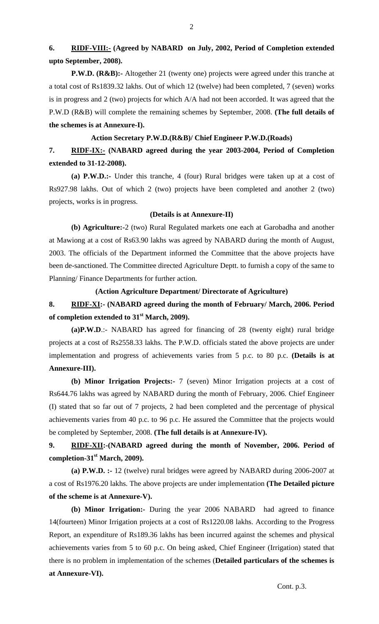**6. RIDF-VIII:- (Agreed by NABARD on July, 2002, Period of Completion extended upto September, 2008).** 

**P.W.D. (R&B):-** Altogether 21 (twenty one) projects were agreed under this tranche at a total cost of Rs1839.32 lakhs. Out of which 12 (twelve) had been completed, 7 (seven) works is in progress and 2 (two) projects for which A/A had not been accorded. It was agreed that the P.W.D (R&B) will complete the remaining schemes by September, 2008. **(The full details of the schemes is at Annexure-I).** 

## **Action Secretary P.W.D.(R&B)/ Chief Engineer P.W.D.(Roads)**

**7. RIDF-IX:- (NABARD agreed during the year 2003-2004, Period of Completion extended to 31-12-2008).** 

 **(a) P.W.D.:-** Under this tranche, 4 (four) Rural bridges were taken up at a cost of Rs927.98 lakhs. Out of which 2 (two) projects have been completed and another 2 (two) projects, works is in progress.

### **(Details is at Annexure-II)**

**(b) Agriculture:-**2 (two) Rural Regulated markets one each at Garobadha and another at Mawiong at a cost of Rs63.90 lakhs was agreed by NABARD during the month of August, 2003. The officials of the Department informed the Committee that the above projects have been de-sanctioned. The Committee directed Agriculture Deptt. to furnish a copy of the same to Planning/ Finance Departments for further action.

### **(Action Agriculture Department/ Directorate of Agriculture)**

# **8. RIDF-XI:- (NABARD agreed during the month of February/ March, 2006. Period of completion extended to 31st March, 2009).**

**(a)P.W.D**.:- NABARD has agreed for financing of 28 (twenty eight) rural bridge projects at a cost of Rs2558.33 lakhs. The P.W.D. officials stated the above projects are under implementation and progress of achievements varies from 5 p.c. to 80 p.c. **(Details is at Annexure-III).** 

**(b) Minor Irrigation Projects:-** 7 (seven) Minor Irrigation projects at a cost of Rs644.76 lakhs was agreed by NABARD during the month of February, 2006. Chief Engineer (I) stated that so far out of 7 projects, 2 had been completed and the percentage of physical achievements varies from 40 p.c. to 96 p.c. He assured the Committee that the projects would be completed by September, 2008. **(The full details is at Annexure-IV).** 

# **9. RIDF-XII:-(NABARD agreed during the month of November, 2006. Period of completion-31st March, 2009).**

 **(a) P.W.D. :-** 12 (twelve) rural bridges were agreed by NABARD during 2006-2007 at a cost of Rs1976.20 lakhs. The above projects are under implementation **(The Detailed picture of the scheme is at Annexure-V).** 

 **(b) Minor Irrigation:-** During the year 2006 NABARD had agreed to finance 14(fourteen) Minor Irrigation projects at a cost of Rs1220.08 lakhs. According to the Progress Report, an expenditure of Rs189.36 lakhs has been incurred against the schemes and physical achievements varies from 5 to 60 p.c. On being asked, Chief Engineer (Irrigation) stated that there is no problem in implementation of the schemes (**Detailed particulars of the schemes is at Annexure-VI).**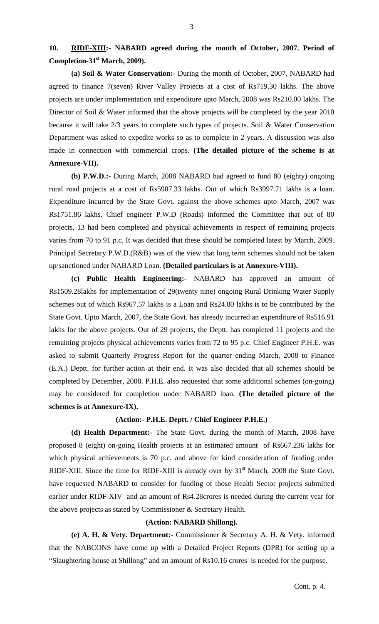**(a) Soil & Water Conservation:-** During the month of October, 2007, NABARD had agreed to finance 7(seven) River Valley Projects at a cost of Rs719.30 lakhs. The above projects are under implementation and expenditure upto March, 2008 was Rs210.00 lakhs. The Director of Soil & Water informed that the above projects will be completed by the year 2010 because it will take 2/3 years to complete such types of projects. Soil & Water Conservation Department was asked to expedite works so as to complete in 2 years. A discussion was also made in connection with commercial crops. **(The detailed picture of the scheme is at Annexure-VII).** 

**(b) P.W.D.:-** During March, 2008 NABARD had agreed to fund 80 (eighty) ongoing rural road projects at a cost of Rs5907.33 lakhs. Out of which Rs3997.71 lakhs is a loan. Expenditure incurred by the State Govt. against the above schemes upto March, 2007 was Rs1751.86 lakhs. Chief engineer P.W.D (Roads) informed the Committee that out of 80 projects, 13 had been completed and physical achievements in respect of remaining projects varies from 70 to 91 p.c. It was decided that these should be completed latest by March, 2009. Principal Secretary P.W.D.(R&B) was of the view that long term schemes should not be taken up/sanctioned under NABARD Loan. **(Detailed particulars is at Annexure-VIII).** 

**(c) Public Health Engineering:-** NABARD has approved an amount of Rs1509.28lakhs for implementation of 29(twenty nine) ongoing Rural Drinking Water Supply schemes out of which Rs967.57 lakhs is a Loan and Rs24.80 lakhs is to be contributed by the State Govt. Upto March, 2007, the State Govt. has already incurred an expenditure of Rs516.91 lakhs for the above projects. Out of 29 projects, the Deptt. has completed 11 projects and the remaining projects physical achievements varies from 72 to 95 p.c. Chief Engineer P.H.E. was asked to submit Quarterly Progress Report for the quarter ending March, 2008 to Finance (E.A.) Deptt. for further action at their end. It was also decided that all schemes should be completed by December, 2008. P.H.E. also requested that some additional schemes (on-going) may be considered for completion under NABARD loan. **(The detailed picture of the schemes is at Annexure-IX).** 

### **(Action:- P.H.E. Deptt. / Chief Engineer P.H.E.)**

 **(d) Health Department:-** The State Govt. during the month of March, 2008 have proposed 8 (eight) on-going Health projects at an estimated amount of Rs667.236 lakhs for which physical achievements is 70 p.c. and above for kind consideration of funding under RIDF-XIII. Since the time for RIDF-XIII is already over by  $31<sup>st</sup>$  March, 2008 the State Govt. have requested NABARD to consider for funding of those Health Sector projects submitted earlier under RIDF-XIV and an amount of Rs4.28crores is needed during the current year for the above projects as stated by Commissioner & Secretary Health.

## **(Action: NABARD Shillong).**

 **(e) A. H. & Vety. Department:-** Commissioner & Secretary A. H. & Vety. informed that the NABCONS have come up with a Detailed Project Reports (DPR) for setting up a "Slaughtering house at Shillong" and an amount of Rs10.16 crores is needed for the purpose.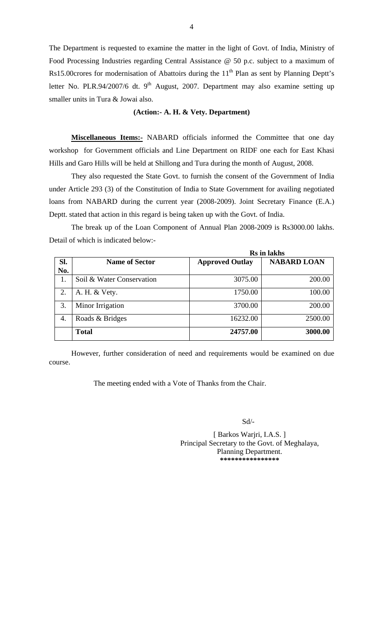The Department is requested to examine the matter in the light of Govt. of India, Ministry of Food Processing Industries regarding Central Assistance @ 50 p.c. subject to a maximum of Rs15.00 crores for modernisation of Abattoirs during the  $11<sup>th</sup>$  Plan as sent by Planning Deptt's letter No. PLR.94/2007/6 dt. 9<sup>th</sup> August, 2007. Department may also examine setting up smaller units in Tura & Jowai also.

#### **(Action:- A. H. & Vety. Department)**

**Miscellaneous Items:-** NABARD officials informed the Committee that one day workshop for Government officials and Line Department on RIDF one each for East Khasi Hills and Garo Hills will be held at Shillong and Tura during the month of August, 2008.

They also requested the State Govt. to furnish the consent of the Government of India under Article 293 (3) of the Constitution of India to State Government for availing negotiated loans from NABARD during the current year (2008-2009). Joint Secretary Finance (E.A.) Deptt. stated that action in this regard is being taken up with the Govt. of India.

 The break up of the Loan Component of Annual Plan 2008-2009 is Rs3000.00 lakhs. Detail of which is indicated below:-

|     |                           | Rs in lakhs            |                    |
|-----|---------------------------|------------------------|--------------------|
| SI. | <b>Name of Sector</b>     | <b>Approved Outlay</b> | <b>NABARD LOAN</b> |
| No. |                           |                        |                    |
|     | Soil & Water Conservation | 3075.00                | 200.00             |
| 2.  | A. H. & Vety.             | 1750.00                | 100.00             |
| 3.  | Minor Irrigation          | 3700.00                | 200.00             |
| 4.  | Roads & Bridges           | 16232.00               | 2500.00            |
|     | <b>Total</b>              | 24757.00               | 3000.00            |

 However, further consideration of need and requirements would be examined on due course.

The meeting ended with a Vote of Thanks from the Chair.

Sd/-

 [ Barkos Warjri, I.A.S. ] Principal Secretary to the Govt. of Meghalaya, Planning Department.  **\*\*\*\*\*\*\*\*\*\*\*\*\*\*\*\***